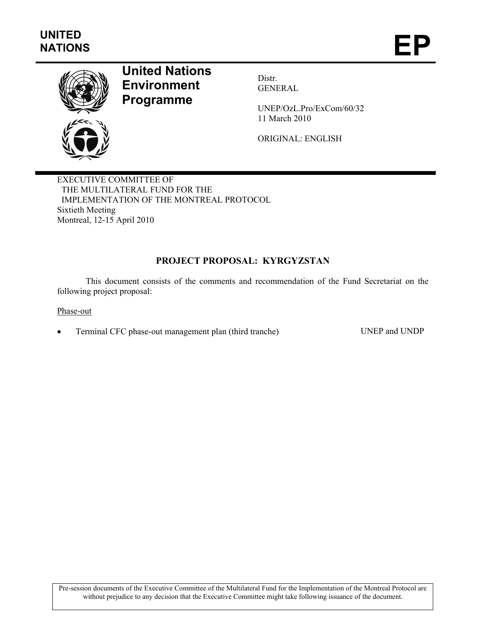

# **United Nations Environment Programme**

Distr. GENERAL

UNEP/OzL.Pro/ExCom/60/32 11 March 2010

ORIGINAL: ENGLISH

EXECUTIVE COMMITTEE OF THE MULTILATERAL FUND FOR THE IMPLEMENTATION OF THE MONTREAL PROTOCOL Sixtieth Meeting Montreal, 12-15 April 2010

# **PROJECT PROPOSAL: KYRGYZSTAN**

This document consists of the comments and recommendation of the Fund Secretariat on the following project proposal:

Phase-out

• Terminal CFC phase-out management plan (third tranche) UNEP and UNDP

Pre-session documents of the Executive Committee of the Multilateral Fund for the Implementation of the Montreal Protocol are without prejudice to any decision that the Executive Committee might take following issuance of the document.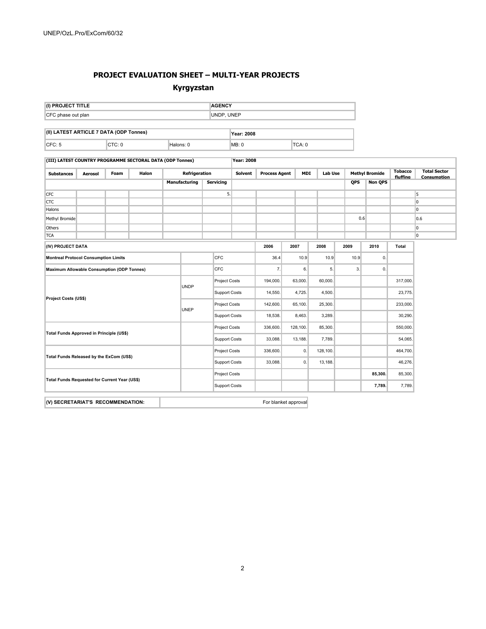#### **PROJECT EVALUATION SHEET – MULTI-YEAR PROJECTS**

#### **Kyrgyzstan**

| UNDP, UNEP<br>CFC phase out plan<br>(II) LATEST ARTICLE 7 DATA (ODP Tonnes)<br>Year: 2008<br>CTC: 0<br>TCA: 0<br>CFC: 5<br>Halons: 0<br>MB: 0<br>(III) LATEST COUNTRY PROGRAMME SECTORAL DATA (ODP Tonnes)<br>Year: 2008<br><b>Tobacco</b><br><b>Total Sector</b><br><b>MDI</b><br><b>Methyl Bromide</b><br>Refrigeration<br><b>Solvent</b><br><b>Process Agent</b><br><b>Lab Use</b><br><b>Foam</b><br>Halon<br><b>Substances</b><br><b>Aerosol</b><br>fluffing<br><b>Consumption</b><br>QPS<br><b>Manufacturing</b><br><b>Servicing</b><br><b>Non QPS</b><br>5.<br>5<br><b>CFC</b><br><b>CTC</b><br>lo.<br>0<br>Halons<br>0.6<br>Methyl Bromide<br>0.6<br>0<br>Others<br><b>TCA</b><br>0<br>(IV) PROJECT DATA<br>2006<br>2007<br>2008<br>2010<br>2009<br>Total<br>CFC<br>10.9<br>0.<br>36.4<br>10.9<br>10.9<br><b>Montreal Protocol Consumption Limits</b><br>CFC<br>7.<br>6.<br>5.<br>3.<br>$\mathbf{0}$ .<br><b>Maximum Allowable Consumption (ODP Tonnes)</b><br>Project Costs<br>63,000.<br>60,000.<br>317,000.<br>194,000.<br><b>UNDP</b><br><b>Support Costs</b><br>14,550.<br>4,725.<br>4,500.<br>23,775.<br>Project Costs (US\$)<br><b>Project Costs</b><br>233,000.<br>142,600.<br>65,100.<br>25,300.<br><b>UNEP</b><br><b>Support Costs</b><br>18,538.<br>8,463.<br>3,289.<br>30,290.<br>Project Costs<br>336,600.<br>128,100.<br>85,300.<br>550,000.<br>Total Funds Approved in Principle (US\$)<br><b>Support Costs</b><br>33,088.<br>13,188.<br>7,789.<br>54,065. | (I) PROJECT TITLE                             |  |  |  |  |                      | <b>AGENCY</b> |          |  |    |          |  |  |          |  |  |
|----------------------------------------------------------------------------------------------------------------------------------------------------------------------------------------------------------------------------------------------------------------------------------------------------------------------------------------------------------------------------------------------------------------------------------------------------------------------------------------------------------------------------------------------------------------------------------------------------------------------------------------------------------------------------------------------------------------------------------------------------------------------------------------------------------------------------------------------------------------------------------------------------------------------------------------------------------------------------------------------------------------------------------------------------------------------------------------------------------------------------------------------------------------------------------------------------------------------------------------------------------------------------------------------------------------------------------------------------------------------------------------------------------------------------------------------------------------------------------|-----------------------------------------------|--|--|--|--|----------------------|---------------|----------|--|----|----------|--|--|----------|--|--|
|                                                                                                                                                                                                                                                                                                                                                                                                                                                                                                                                                                                                                                                                                                                                                                                                                                                                                                                                                                                                                                                                                                                                                                                                                                                                                                                                                                                                                                                                                  |                                               |  |  |  |  |                      |               |          |  |    |          |  |  |          |  |  |
|                                                                                                                                                                                                                                                                                                                                                                                                                                                                                                                                                                                                                                                                                                                                                                                                                                                                                                                                                                                                                                                                                                                                                                                                                                                                                                                                                                                                                                                                                  |                                               |  |  |  |  |                      |               |          |  |    |          |  |  |          |  |  |
|                                                                                                                                                                                                                                                                                                                                                                                                                                                                                                                                                                                                                                                                                                                                                                                                                                                                                                                                                                                                                                                                                                                                                                                                                                                                                                                                                                                                                                                                                  |                                               |  |  |  |  |                      |               |          |  |    |          |  |  |          |  |  |
|                                                                                                                                                                                                                                                                                                                                                                                                                                                                                                                                                                                                                                                                                                                                                                                                                                                                                                                                                                                                                                                                                                                                                                                                                                                                                                                                                                                                                                                                                  |                                               |  |  |  |  |                      |               |          |  |    |          |  |  |          |  |  |
|                                                                                                                                                                                                                                                                                                                                                                                                                                                                                                                                                                                                                                                                                                                                                                                                                                                                                                                                                                                                                                                                                                                                                                                                                                                                                                                                                                                                                                                                                  |                                               |  |  |  |  |                      |               |          |  |    |          |  |  |          |  |  |
|                                                                                                                                                                                                                                                                                                                                                                                                                                                                                                                                                                                                                                                                                                                                                                                                                                                                                                                                                                                                                                                                                                                                                                                                                                                                                                                                                                                                                                                                                  |                                               |  |  |  |  |                      |               |          |  |    |          |  |  |          |  |  |
|                                                                                                                                                                                                                                                                                                                                                                                                                                                                                                                                                                                                                                                                                                                                                                                                                                                                                                                                                                                                                                                                                                                                                                                                                                                                                                                                                                                                                                                                                  |                                               |  |  |  |  |                      |               |          |  |    |          |  |  |          |  |  |
|                                                                                                                                                                                                                                                                                                                                                                                                                                                                                                                                                                                                                                                                                                                                                                                                                                                                                                                                                                                                                                                                                                                                                                                                                                                                                                                                                                                                                                                                                  |                                               |  |  |  |  |                      |               |          |  |    |          |  |  |          |  |  |
|                                                                                                                                                                                                                                                                                                                                                                                                                                                                                                                                                                                                                                                                                                                                                                                                                                                                                                                                                                                                                                                                                                                                                                                                                                                                                                                                                                                                                                                                                  |                                               |  |  |  |  |                      |               |          |  |    |          |  |  |          |  |  |
|                                                                                                                                                                                                                                                                                                                                                                                                                                                                                                                                                                                                                                                                                                                                                                                                                                                                                                                                                                                                                                                                                                                                                                                                                                                                                                                                                                                                                                                                                  |                                               |  |  |  |  |                      |               |          |  |    |          |  |  |          |  |  |
|                                                                                                                                                                                                                                                                                                                                                                                                                                                                                                                                                                                                                                                                                                                                                                                                                                                                                                                                                                                                                                                                                                                                                                                                                                                                                                                                                                                                                                                                                  |                                               |  |  |  |  |                      |               |          |  |    |          |  |  |          |  |  |
|                                                                                                                                                                                                                                                                                                                                                                                                                                                                                                                                                                                                                                                                                                                                                                                                                                                                                                                                                                                                                                                                                                                                                                                                                                                                                                                                                                                                                                                                                  |                                               |  |  |  |  |                      |               |          |  |    |          |  |  |          |  |  |
|                                                                                                                                                                                                                                                                                                                                                                                                                                                                                                                                                                                                                                                                                                                                                                                                                                                                                                                                                                                                                                                                                                                                                                                                                                                                                                                                                                                                                                                                                  |                                               |  |  |  |  |                      |               |          |  |    |          |  |  |          |  |  |
|                                                                                                                                                                                                                                                                                                                                                                                                                                                                                                                                                                                                                                                                                                                                                                                                                                                                                                                                                                                                                                                                                                                                                                                                                                                                                                                                                                                                                                                                                  |                                               |  |  |  |  |                      |               |          |  |    |          |  |  |          |  |  |
|                                                                                                                                                                                                                                                                                                                                                                                                                                                                                                                                                                                                                                                                                                                                                                                                                                                                                                                                                                                                                                                                                                                                                                                                                                                                                                                                                                                                                                                                                  |                                               |  |  |  |  |                      |               |          |  |    |          |  |  |          |  |  |
|                                                                                                                                                                                                                                                                                                                                                                                                                                                                                                                                                                                                                                                                                                                                                                                                                                                                                                                                                                                                                                                                                                                                                                                                                                                                                                                                                                                                                                                                                  |                                               |  |  |  |  |                      |               |          |  |    |          |  |  |          |  |  |
|                                                                                                                                                                                                                                                                                                                                                                                                                                                                                                                                                                                                                                                                                                                                                                                                                                                                                                                                                                                                                                                                                                                                                                                                                                                                                                                                                                                                                                                                                  |                                               |  |  |  |  |                      |               |          |  |    |          |  |  |          |  |  |
|                                                                                                                                                                                                                                                                                                                                                                                                                                                                                                                                                                                                                                                                                                                                                                                                                                                                                                                                                                                                                                                                                                                                                                                                                                                                                                                                                                                                                                                                                  |                                               |  |  |  |  |                      |               |          |  |    |          |  |  |          |  |  |
|                                                                                                                                                                                                                                                                                                                                                                                                                                                                                                                                                                                                                                                                                                                                                                                                                                                                                                                                                                                                                                                                                                                                                                                                                                                                                                                                                                                                                                                                                  |                                               |  |  |  |  |                      |               |          |  |    |          |  |  |          |  |  |
|                                                                                                                                                                                                                                                                                                                                                                                                                                                                                                                                                                                                                                                                                                                                                                                                                                                                                                                                                                                                                                                                                                                                                                                                                                                                                                                                                                                                                                                                                  |                                               |  |  |  |  |                      |               |          |  |    |          |  |  |          |  |  |
|                                                                                                                                                                                                                                                                                                                                                                                                                                                                                                                                                                                                                                                                                                                                                                                                                                                                                                                                                                                                                                                                                                                                                                                                                                                                                                                                                                                                                                                                                  |                                               |  |  |  |  |                      |               |          |  |    |          |  |  |          |  |  |
|                                                                                                                                                                                                                                                                                                                                                                                                                                                                                                                                                                                                                                                                                                                                                                                                                                                                                                                                                                                                                                                                                                                                                                                                                                                                                                                                                                                                                                                                                  |                                               |  |  |  |  |                      |               |          |  |    |          |  |  |          |  |  |
|                                                                                                                                                                                                                                                                                                                                                                                                                                                                                                                                                                                                                                                                                                                                                                                                                                                                                                                                                                                                                                                                                                                                                                                                                                                                                                                                                                                                                                                                                  |                                               |  |  |  |  |                      |               |          |  |    |          |  |  |          |  |  |
|                                                                                                                                                                                                                                                                                                                                                                                                                                                                                                                                                                                                                                                                                                                                                                                                                                                                                                                                                                                                                                                                                                                                                                                                                                                                                                                                                                                                                                                                                  | Total Funds Released by the ExCom (US\$)      |  |  |  |  | <b>Project Costs</b> |               | 336,600. |  | 0. | 128,100. |  |  | 464,700. |  |  |
| 0.<br>46,276.<br><b>Support Costs</b><br>33,088.<br>13,188.                                                                                                                                                                                                                                                                                                                                                                                                                                                                                                                                                                                                                                                                                                                                                                                                                                                                                                                                                                                                                                                                                                                                                                                                                                                                                                                                                                                                                      |                                               |  |  |  |  |                      |               |          |  |    |          |  |  |          |  |  |
| <b>Project Costs</b><br>85,300.<br>85,300.                                                                                                                                                                                                                                                                                                                                                                                                                                                                                                                                                                                                                                                                                                                                                                                                                                                                                                                                                                                                                                                                                                                                                                                                                                                                                                                                                                                                                                       | Total Funds Requested for Current Year (US\$) |  |  |  |  |                      |               |          |  |    |          |  |  |          |  |  |
| <b>Support Costs</b><br>7,789.<br>7,789.                                                                                                                                                                                                                                                                                                                                                                                                                                                                                                                                                                                                                                                                                                                                                                                                                                                                                                                                                                                                                                                                                                                                                                                                                                                                                                                                                                                                                                         |                                               |  |  |  |  |                      |               |          |  |    |          |  |  |          |  |  |
| (V) SECRETARIAT'S RECOMMENDATION:<br>For blanket approval                                                                                                                                                                                                                                                                                                                                                                                                                                                                                                                                                                                                                                                                                                                                                                                                                                                                                                                                                                                                                                                                                                                                                                                                                                                                                                                                                                                                                        |                                               |  |  |  |  |                      |               |          |  |    |          |  |  |          |  |  |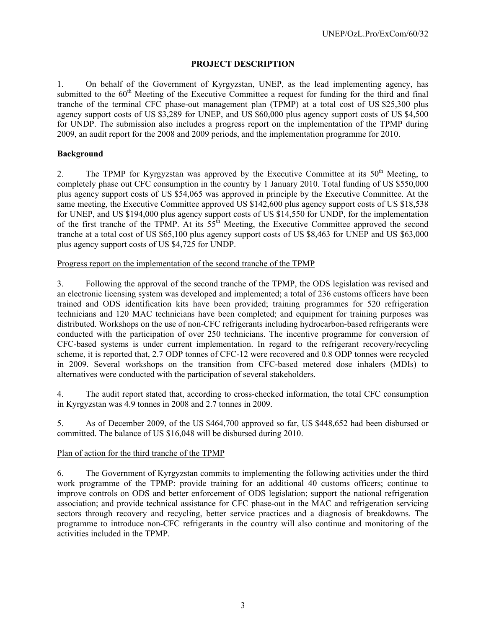# **PROJECT DESCRIPTION**

1. On behalf of the Government of Kyrgyzstan, UNEP, as the lead implementing agency, has submitted to the  $60<sup>th</sup>$  Meeting of the Executive Committee a request for funding for the third and final tranche of the terminal CFC phase-out management plan (TPMP) at a total cost of US \$25,300 plus agency support costs of US \$3,289 for UNEP, and US \$60,000 plus agency support costs of US \$4,500 for UNDP. The submission also includes a progress report on the implementation of the TPMP during 2009, an audit report for the 2008 and 2009 periods, and the implementation programme for 2010.

# **Background**

2. The TPMP for Kyrgyzstan was approved by the Executive Committee at its  $50<sup>th</sup>$  Meeting, to completely phase out CFC consumption in the country by 1 January 2010. Total funding of US \$550,000 plus agency support costs of US \$54,065 was approved in principle by the Executive Committee. At the same meeting, the Executive Committee approved US \$142,600 plus agency support costs of US \$18,538 for UNEP, and US \$194,000 plus agency support costs of US \$14,550 for UNDP, for the implementation of the first tranche of the TPMP. At its  $55<sup>th</sup>$  Meeting, the Executive Committee approved the second tranche at a total cost of US \$65,100 plus agency support costs of US \$8,463 for UNEP and US \$63,000 plus agency support costs of US \$4,725 for UNDP.

Progress report on the implementation of the second tranche of the TPMP

3. Following the approval of the second tranche of the TPMP, the ODS legislation was revised and an electronic licensing system was developed and implemented; a total of 236 customs officers have been trained and ODS identification kits have been provided; training programmes for 520 refrigeration technicians and 120 MAC technicians have been completed; and equipment for training purposes was distributed. Workshops on the use of non-CFC refrigerants including hydrocarbon-based refrigerants were conducted with the participation of over 250 technicians. The incentive programme for conversion of CFC-based systems is under current implementation. In regard to the refrigerant recovery/recycling scheme, it is reported that, 2.7 ODP tonnes of CFC-12 were recovered and 0.8 ODP tonnes were recycled in 2009. Several workshops on the transition from CFC-based metered dose inhalers (MDIs) to alternatives were conducted with the participation of several stakeholders.

4. The audit report stated that, according to cross-checked information, the total CFC consumption in Kyrgyzstan was 4.9 tonnes in 2008 and 2.7 tonnes in 2009.

5. As of December 2009, of the US \$464,700 approved so far, US \$448,652 had been disbursed or committed. The balance of US \$16,048 will be disbursed during 2010.

# Plan of action for the third tranche of the TPMP

6. The Government of Kyrgyzstan commits to implementing the following activities under the third work programme of the TPMP: provide training for an additional 40 customs officers; continue to improve controls on ODS and better enforcement of ODS legislation; support the national refrigeration association; and provide technical assistance for CFC phase-out in the MAC and refrigeration servicing sectors through recovery and recycling, better service practices and a diagnosis of breakdowns. The programme to introduce non-CFC refrigerants in the country will also continue and monitoring of the activities included in the TPMP.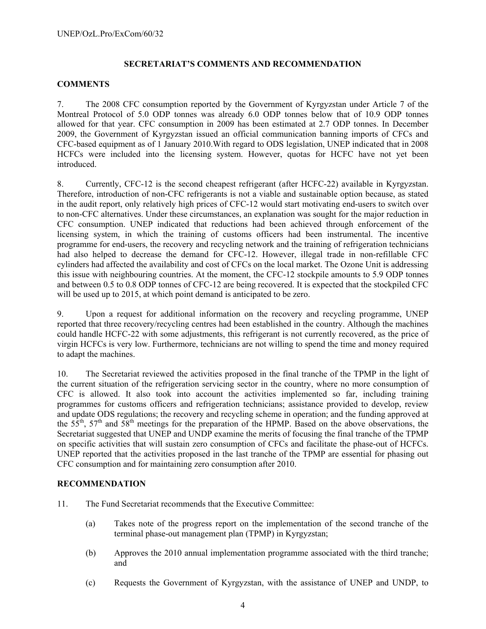# **SECRETARIAT'S COMMENTS AND RECOMMENDATION**

#### **COMMENTS**

7. The 2008 CFC consumption reported by the Government of Kyrgyzstan under Article 7 of the Montreal Protocol of 5.0 ODP tonnes was already 6.0 ODP tonnes below that of 10.9 ODP tonnes allowed for that year. CFC consumption in 2009 has been estimated at 2.7 ODP tonnes. In December 2009, the Government of Kyrgyzstan issued an official communication banning imports of CFCs and CFC-based equipment as of 1 January 2010.With regard to ODS legislation, UNEP indicated that in 2008 HCFCs were included into the licensing system. However, quotas for HCFC have not yet been **introduced** 

8. Currently, CFC-12 is the second cheapest refrigerant (after HCFC-22) available in Kyrgyzstan. Therefore, introduction of non-CFC refrigerants is not a viable and sustainable option because, as stated in the audit report, only relatively high prices of CFC-12 would start motivating end-users to switch over to non-CFC alternatives. Under these circumstances, an explanation was sought for the major reduction in CFC consumption. UNEP indicated that reductions had been achieved through enforcement of the licensing system, in which the training of customs officers had been instrumental. The incentive programme for end-users, the recovery and recycling network and the training of refrigeration technicians had also helped to decrease the demand for CFC-12. However, illegal trade in non-refillable CFC cylinders had affected the availability and cost of CFCs on the local market. The Ozone Unit is addressing this issue with neighbouring countries. At the moment, the CFC-12 stockpile amounts to 5.9 ODP tonnes and between 0.5 to 0.8 ODP tonnes of CFC-12 are being recovered. It is expected that the stockpiled CFC will be used up to 2015, at which point demand is anticipated to be zero.

9. Upon a request for additional information on the recovery and recycling programme, UNEP reported that three recovery/recycling centres had been established in the country. Although the machines could handle HCFC-22 with some adjustments, this refrigerant is not currently recovered, as the price of virgin HCFCs is very low. Furthermore, technicians are not willing to spend the time and money required to adapt the machines.

10. The Secretariat reviewed the activities proposed in the final tranche of the TPMP in the light of the current situation of the refrigeration servicing sector in the country, where no more consumption of CFC is allowed. It also took into account the activities implemented so far, including training programmes for customs officers and refrigeration technicians; assistance provided to develop, review and update ODS regulations; the recovery and recycling scheme in operation; and the funding approved at the  $55<sup>th</sup>$ ,  $57<sup>th</sup>$  and  $58<sup>th</sup>$  meetings for the preparation of the HPMP. Based on the above observations, the Secretariat suggested that UNEP and UNDP examine the merits of focusing the final tranche of the TPMP on specific activities that will sustain zero consumption of CFCs and facilitate the phase-out of HCFCs. UNEP reported that the activities proposed in the last tranche of the TPMP are essential for phasing out CFC consumption and for maintaining zero consumption after 2010.

#### **RECOMMENDATION**

- 11. The Fund Secretariat recommends that the Executive Committee:
	- (a) Takes note of the progress report on the implementation of the second tranche of the terminal phase-out management plan (TPMP) in Kyrgyzstan;
	- (b) Approves the 2010 annual implementation programme associated with the third tranche; and
	- (c) Requests the Government of Kyrgyzstan, with the assistance of UNEP and UNDP, to